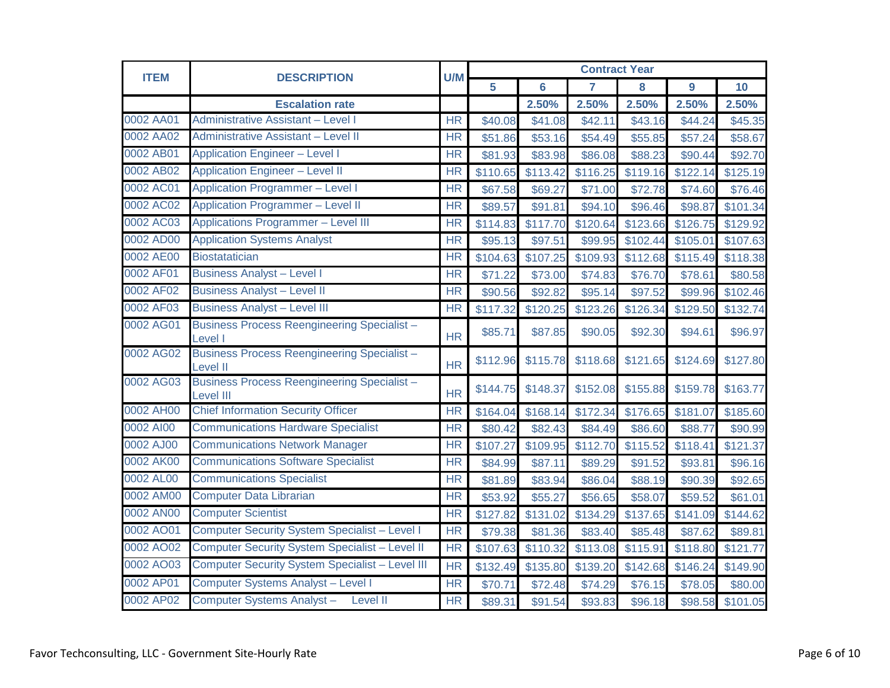| <b>ITEM</b> | <b>DESCRIPTION</b>                                                     | U/M       | <b>Contract Year</b> |          |                |          |          |          |
|-------------|------------------------------------------------------------------------|-----------|----------------------|----------|----------------|----------|----------|----------|
|             |                                                                        |           | 5                    | 6        | $\overline{7}$ | 8        | 9        | 10       |
|             | <b>Escalation rate</b>                                                 |           |                      | 2.50%    | 2.50%          | 2.50%    | 2.50%    | 2.50%    |
| 0002 AA01   | Administrative Assistant - Level I                                     | <b>HR</b> | \$40.08              | \$41.08  | \$42.11        | \$43.16  | \$44.24  | \$45.35  |
| 0002 AA02   | <b>Administrative Assistant - Level II</b>                             | <b>HR</b> | \$51.86              | \$53.16  | \$54.49        | \$55.85  | \$57.24  | \$58.67  |
| 0002 AB01   | <b>Application Engineer - Level I</b>                                  | <b>HR</b> | \$81.93              | \$83.98  | \$86.08        | \$88.23  | \$90.44  | \$92.70  |
| 0002 AB02   | <b>Application Engineer - Level II</b>                                 | <b>HR</b> | \$110.65             | \$113.42 | \$116.25       | \$119.16 | \$122.14 | \$125.19 |
| 0002 AC01   | <b>Application Programmer - Level I</b>                                | <b>HR</b> | \$67.58              | \$69.27  | \$71.00        | \$72.78  | \$74.60  | \$76.46  |
| 0002 AC02   | <b>Application Programmer - Level II</b>                               | <b>HR</b> | \$89.57              | \$91.81  | \$94.10        | \$96.46  | \$98.87  | \$101.34 |
| 0002 AC03   | <b>Applications Programmer - Level III</b>                             | <b>HR</b> | \$114.83             | \$117.70 | \$120.64       | \$123.66 | \$126.75 | \$129.92 |
| 0002 AD00   | <b>Application Systems Analyst</b>                                     | <b>HR</b> | \$95.13              | \$97.51  | \$99.95        | \$102.44 | \$105.01 | \$107.63 |
| 0002 AE00   | <b>Biostatatician</b>                                                  | <b>HR</b> | \$104.63             | \$107.25 | \$109.93       | \$112.68 | \$115.49 | \$118.38 |
| 0002 AF01   | <b>Business Analyst - Level I</b>                                      | <b>HR</b> | \$71.22              | \$73.00  | \$74.83        | \$76.70  | \$78.61  | \$80.58  |
| 0002 AF02   | <b>Business Analyst - Level II</b>                                     | <b>HR</b> | \$90.56              | \$92.82  | \$95.14        | \$97.52  | \$99.96  | \$102.46 |
| 0002 AF03   | <b>Business Analyst - Level III</b>                                    | <b>HR</b> | \$117.32             | \$120.25 | \$123.26       | \$126.34 | \$129.50 | \$132.74 |
| 0002 AG01   | <b>Business Process Reengineering Specialist -</b><br>Level I          | <b>HR</b> | \$85.71              | \$87.85  | \$90.05        | \$92.30  | \$94.61  | \$96.97  |
| 0002 AG02   | <b>Business Process Reengineering Specialist -</b><br><b>Level II</b>  | <b>HR</b> | \$112.96             | \$115.78 | \$118.68       | \$121.65 | \$124.69 | \$127.80 |
| 0002 AG03   | <b>Business Process Reengineering Specialist -</b><br><b>Level III</b> | <b>HR</b> | \$144.75             | \$148.37 | \$152.08       | \$155.88 | \$159.78 | \$163.77 |
| 0002 AH00   | <b>Chief Information Security Officer</b>                              | <b>HR</b> | \$164.04             | \$168.14 | \$172.34       | \$176.65 | \$181.07 | \$185.60 |
| 0002 AI00   | <b>Communications Hardware Specialist</b>                              | <b>HR</b> | \$80.42              | \$82.43  | \$84.49        | \$86.60  | \$88.77  | \$90.99  |
| 0002 AJ00   | <b>Communications Network Manager</b>                                  | <b>HR</b> | \$107.27             | \$109.95 | \$112.70       | \$115.52 | \$118.41 | \$121.37 |
| 0002 AK00   | <b>Communications Software Specialist</b>                              | <b>HR</b> | \$84.99              | \$87.11  | \$89.29        | \$91.52  | \$93.81  | \$96.16  |
| 0002 AL00   | <b>Communications Specialist</b>                                       | <b>HR</b> | \$81.89              | \$83.94  | \$86.04        | \$88.19  | \$90.39  | \$92.65  |
| 0002 AM00   | <b>Computer Data Librarian</b>                                         | <b>HR</b> | \$53.92              | \$55.27  | \$56.65        | \$58.07  | \$59.52  | \$61.01  |
| 0002 AN00   | <b>Computer Scientist</b>                                              | <b>HR</b> | \$127.82             | \$131.02 | \$134.29       | \$137.65 | \$141.09 | \$144.62 |
| 0002 AO01   | <b>Computer Security System Specialist - Level I</b>                   | <b>HR</b> | \$79.38              | \$81.36  | \$83.40        | \$85.48  | \$87.62  | \$89.81  |
| 0002 AO02   | <b>Computer Security System Specialist - Level II</b>                  | <b>HR</b> | \$107.63             | \$110.32 | \$113.08       | \$115.91 | \$118.80 | \$121.77 |
| 0002 AO03   | <b>Computer Security System Specialist - Level III</b>                 | <b>HR</b> | \$132.49             | \$135.80 | \$139.20       | \$142.68 | \$146.24 | \$149.90 |
| 0002 AP01   | <b>Computer Systems Analyst - Level I</b>                              | <b>HR</b> | \$70.71              | \$72.48  | \$74.29        | \$76.15  | \$78.05  | \$80.00  |
| 0002 AP02   | Computer Systems Analyst-<br><b>Level II</b>                           | <b>HR</b> | \$89.31              | \$91.54  | \$93.83        | \$96.18  | \$98.58  | \$101.05 |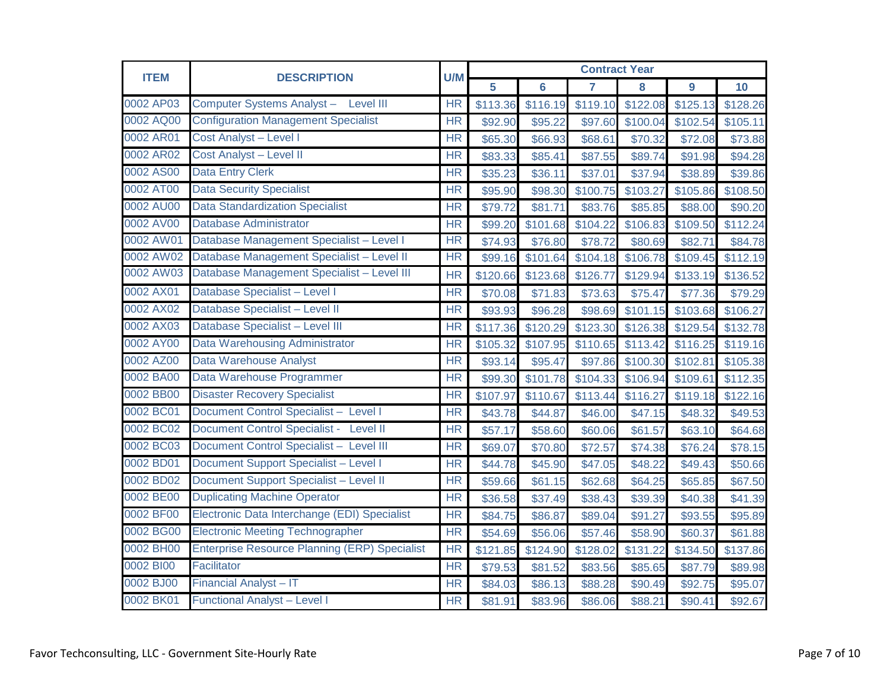| <b>ITEM</b> | <b>DESCRIPTION</b>                                   | U/M       | <b>Contract Year</b> |                |                |          |          |          |
|-------------|------------------------------------------------------|-----------|----------------------|----------------|----------------|----------|----------|----------|
|             |                                                      |           | 5                    | $6\phantom{a}$ | $\overline{7}$ | 8        | 9        | 10       |
| 0002 AP03   | Computer Systems Analyst - Level III                 | <b>HR</b> | \$113.36             | \$116.19       | \$119.10       | \$122.08 | \$125.13 | \$128.26 |
| 0002 AQ00   | <b>Configuration Management Specialist</b>           | <b>HR</b> | \$92.90              | \$95.22        | \$97.60        | \$100.04 | \$102.54 | \$105.11 |
| 0002 AR01   | Cost Analyst - Level I                               | <b>HR</b> | \$65.30              | \$66.93        | \$68.61        | \$70.32  | \$72.08  | \$73.88  |
| 0002 AR02   | <b>Cost Analyst - Level II</b>                       | HR        | \$83.33              | \$85.41        | \$87.55        | \$89.74  | \$91.98  | \$94.28  |
| 0002 AS00   | <b>Data Entry Clerk</b>                              | <b>HR</b> | \$35.23              | \$36.11        | \$37.01        | \$37.94  | \$38.89  | \$39.86  |
| 0002 AT00   | <b>Data Security Specialist</b>                      | <b>HR</b> | \$95.90              | \$98.30        | \$100.75       | \$103.27 | \$105.86 | \$108.50 |
| 0002 AU00   | <b>Data Standardization Specialist</b>               | <b>HR</b> | \$79.72              | \$81.71        | \$83.76        | \$85.85  | \$88.00  | \$90.20  |
| 0002 AV00   | <b>Database Administrator</b>                        | <b>HR</b> | \$99.20              | \$101.68       | \$104.22       | \$106.83 | \$109.50 | \$112.24 |
| 0002 AW01   | Database Management Specialist - Level I             | <b>HR</b> | \$74.93              | \$76.80        | \$78.72        | \$80.69  | \$82.71  | \$84.78  |
| 0002 AW02   | Database Management Specialist - Level II            | HR        | \$99.16              | \$101.64       | \$104.18       | \$106.78 | \$109.45 | \$112.19 |
| 0002 AW03   | Database Management Specialist - Level III           | <b>HR</b> | \$120.66             | \$123.68       | \$126.77       | \$129.94 | \$133.19 | \$136.52 |
| 0002 AX01   | Database Specialist - Level I                        | <b>HR</b> | \$70.08              | \$71.83        | \$73.63        | \$75.47  | \$77.36  | \$79.29  |
| 0002 AX02   | Database Specialist - Level II                       | HR        | \$93.93              | \$96.28        | \$98.69        | \$101.15 | \$103.68 | \$106.27 |
| 0002 AX03   | Database Specialist - Level III                      | <b>HR</b> | \$117.36             | \$120.29       | \$123.30       | \$126.38 | \$129.54 | \$132.78 |
| 0002 AY00   | <b>Data Warehousing Administrator</b>                | <b>HR</b> | \$105.32             | \$107.95       | \$110.65       | \$113.42 | \$116.25 | \$119.16 |
| 0002 AZ00   | <b>Data Warehouse Analyst</b>                        | HR        | \$93.14              | \$95.47        | \$97.86        | \$100.30 | \$102.81 | \$105.38 |
| 0002 BA00   | Data Warehouse Programmer                            | <b>HR</b> | \$99.30              | \$101.78       | \$104.33       | \$106.94 | \$109.61 | \$112.35 |
| 0002 BB00   | <b>Disaster Recovery Specialist</b>                  | <b>HR</b> | \$107.97             | \$110.67       | \$113.44       | \$116.27 | \$119.18 | \$122.16 |
| 0002 BC01   | Document Control Specialist - Level I                | <b>HR</b> | \$43.78              | \$44.87        | \$46.00        | \$47.15  | \$48.32  | \$49.53  |
| 0002 BC02   | Document Control Specialist - Level II               | <b>HR</b> | \$57.17              | \$58.60        | \$60.06        | \$61.57  | \$63.10  | \$64.68  |
| 0002 BC03   | Document Control Specialist - Level III              | <b>HR</b> | \$69.07              | \$70.80        | \$72.57        | \$74.38  | \$76.24  | \$78.15  |
| 0002 BD01   | <b>Document Support Specialist - Level I</b>         | <b>HR</b> | \$44.78              | \$45.90        | \$47.05        | \$48.22  | \$49.43  | \$50.66  |
| 0002 BD02   | Document Support Specialist - Level II               | <b>HR</b> | \$59.66              | \$61.15        | \$62.68        | \$64.25  | \$65.85  | \$67.50  |
| 0002 BE00   | <b>Duplicating Machine Operator</b>                  | <b>HR</b> | \$36.58              | \$37.49        | \$38.43        | \$39.39  | \$40.38  | \$41.39  |
| 0002 BF00   | Electronic Data Interchange (EDI) Specialist         | <b>HR</b> | \$84.75              | \$86.87        | \$89.04        | \$91.27  | \$93.55  | \$95.89  |
| 0002 BG00   | <b>Electronic Meeting Technographer</b>              | <b>HR</b> | \$54.69              | \$56.06        | \$57.46        | \$58.90  | \$60.37  | \$61.88  |
| 0002 BH00   | <b>Enterprise Resource Planning (ERP) Specialist</b> | <b>HR</b> | \$121.85             | \$124.90       | \$128.02       | \$131.22 | \$134.50 | \$137.86 |
| 0002 BI00   | Facilitator                                          | HR        | \$79.53              | \$81.52        | \$83.56        | \$85.65  | \$87.79  | \$89.98  |
| 0002 BJ00   | <b>Financial Analyst - IT</b>                        | <b>HR</b> | \$84.03              | \$86.13        | \$88.28        | \$90.49  | \$92.75  | \$95.07  |
| 0002 BK01   | <b>Functional Analyst - Level I</b>                  | <b>HR</b> | \$81.91              | \$83.96        | \$86.06        | \$88.21  | \$90.41  | \$92.67  |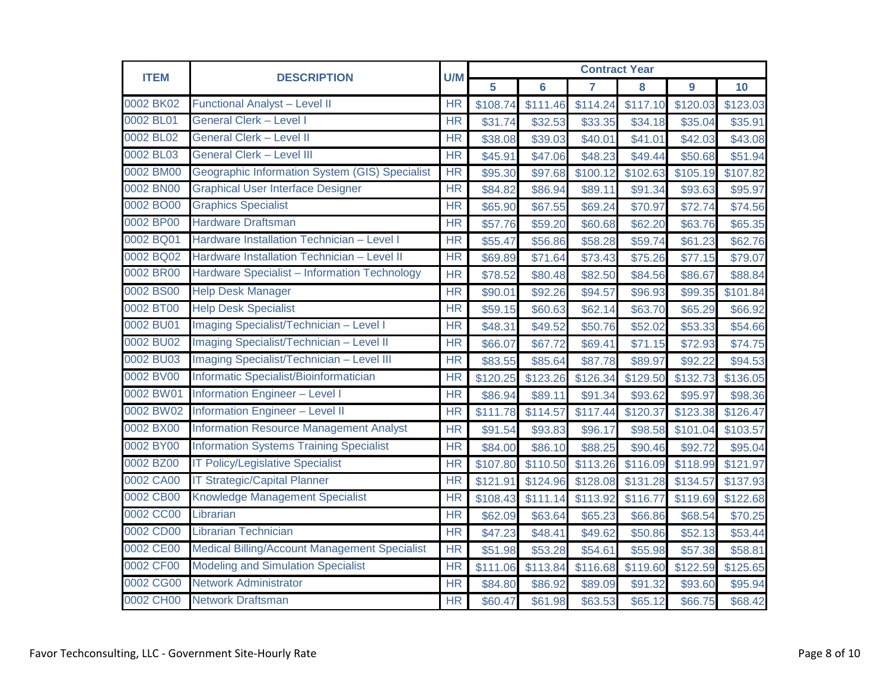| <b>ITEM</b> | <b>DESCRIPTION</b>                                   | U/M       | <b>Contract Year</b> |                |          |          |          |          |  |
|-------------|------------------------------------------------------|-----------|----------------------|----------------|----------|----------|----------|----------|--|
|             |                                                      |           | 5                    | $6\phantom{a}$ | 7        | 8        | 9        | 10       |  |
| 0002 BK02   | <b>Functional Analyst - Level II</b>                 | <b>HR</b> | \$108.74             | \$111.46       | \$114.24 | \$117.10 | \$120.03 | \$123.03 |  |
| 0002 BL01   | <b>General Clerk - Level I</b>                       | <b>HR</b> | \$31.74              | \$32.53        | \$33.35  | \$34.18  | \$35.04  | \$35.91  |  |
| 0002 BL02   | <b>General Clerk - Level II</b>                      | <b>HR</b> | \$38.08              | \$39.03        | \$40.01  | \$41.01  | \$42.03  | \$43.08  |  |
| 0002 BL03   | <b>General Clerk - Level III</b>                     | <b>HR</b> | \$45.91              | \$47.06        | \$48.23  | \$49.44  | \$50.68  | \$51.94  |  |
| 0002 BM00   | Geographic Information System (GIS) Specialist       | HR        | \$95.30              | \$97.68        | \$100.12 | \$102.63 | \$105.19 | \$107.82 |  |
| 0002 BN00   | <b>Graphical User Interface Designer</b>             | <b>HR</b> | \$84.82              | \$86.94        | \$89.11  | \$91.34  | \$93.63  | \$95.97  |  |
| 0002 BO00   | <b>Graphics Specialist</b>                           | <b>HR</b> | \$65.90              | \$67.55        | \$69.24  | \$70.97  | \$72.74  | \$74.56  |  |
| 0002 BP00   | <b>Hardware Draftsman</b>                            | <b>HR</b> | \$57.76              | \$59.20        | \$60.68  | \$62.20  | \$63.76  | \$65.35  |  |
| 0002 BQ01   | Hardware Installation Technician - Level I           | <b>HR</b> | \$55.47              | \$56.86        | \$58.28  | \$59.74  | \$61.23  | \$62.76  |  |
| 0002 BQ02   | Hardware Installation Technician - Level II          | HR        | \$69.89              | \$71.64        | \$73.43  | \$75.26  | \$77.15  | \$79.07  |  |
| 0002 BR00   | Hardware Specialist - Information Technology         | <b>HR</b> | \$78.52              | \$80.48        | \$82.50  | \$84.56  | \$86.67  | \$88.84  |  |
| 0002 BS00   | <b>Help Desk Manager</b>                             | <b>HR</b> | \$90.01              | \$92.26        | \$94.57  | \$96.93  | \$99.35  | \$101.84 |  |
| 0002 BT00   | <b>Help Desk Specialist</b>                          | <b>HR</b> | \$59.15              | \$60.63        | \$62.14  | \$63.70  | \$65.29  | \$66.92  |  |
| 0002 BU01   | Imaging Specialist/Technician - Level I              | <b>HR</b> | \$48.31              | \$49.52        | \$50.76  | \$52.02  | \$53.33  | \$54.66  |  |
| 0002 BU02   | Imaging Specialist/Technician - Level II             | <b>HR</b> | \$66.07              | \$67.72        | \$69.41  | \$71.15  | \$72.93  | \$74.75  |  |
| 0002 BU03   | Imaging Specialist/Technician - Level III            | <b>HR</b> | \$83.55              | \$85.64        | \$87.78  | \$89.97  | \$92.22  | \$94.53  |  |
| 0002 BV00   | Informatic Specialist/Bioinformatician               | <b>HR</b> | \$120.25             | \$123.26       | \$126.34 | \$129.50 | \$132.73 | \$136.05 |  |
| 0002 BW01   | <b>Information Engineer - Level I</b>                | <b>HR</b> | \$86.94              | \$89.11        | \$91.34  | \$93.62  | \$95.97  | \$98.36  |  |
| 0002 BW02   | <b>Information Engineer - Level II</b>               | <b>HR</b> | \$111.78             | \$114.57       | \$117.44 | \$120.37 | \$123.38 | \$126.47 |  |
| 0002 BX00   | <b>Information Resource Management Analyst</b>       | <b>HR</b> | \$91.54              | \$93.83        | \$96.17  | \$98.58  | \$101.04 | \$103.57 |  |
| 0002 BY00   | <b>Information Systems Training Specialist</b>       | <b>HR</b> | \$84.00              | \$86.10        | \$88.25  | \$90.46  | \$92.72  | \$95.04  |  |
| 0002 BZ00   | <b>IT Policy/Legislative Specialist</b>              | <b>HR</b> | \$107.80             | \$110.50       | \$113.26 | \$116.09 | \$118.99 | \$121.97 |  |
| 0002 CA00   | <b>IT Strategic/Capital Planner</b>                  | <b>HR</b> | \$121.91             | \$124.96       | \$128.08 | \$131.28 | \$134.57 | \$137.93 |  |
| 0002 CB00   | Knowledge Management Specialist                      | <b>HR</b> | \$108.43             | \$111.14       | \$113.92 | \$116.77 | \$119.69 | \$122.68 |  |
| 0002 CC00   | Librarian                                            | <b>HR</b> | \$62.09              | \$63.64        | \$65.23  | \$66.86  | \$68.54  | \$70.25  |  |
| 0002 CD00   | <b>Librarian Technician</b>                          | <b>HR</b> | \$47.23              | \$48.41        | \$49.62  | \$50.86  | \$52.13  | \$53.44  |  |
| 0002 CE00   | <b>Medical Billing/Account Management Specialist</b> | <b>HR</b> | \$51.98              | \$53.28        | \$54.61  | \$55.98  | \$57.38  | \$58.81  |  |
| 0002 CF00   | <b>Modeling and Simulation Specialist</b>            | <b>HR</b> | \$111.06             | \$113.84       | \$116.68 | \$119.60 | \$122.59 | \$125.65 |  |
| 0002 CG00   | <b>Network Administrator</b>                         | <b>HR</b> | \$84.80              | \$86.92        | \$89.09  | \$91.32  | \$93.60  | \$95.94  |  |
| 0002 CH00   | <b>Network Draftsman</b>                             | <b>HR</b> | \$60.47              | \$61.98        | \$63.53  | \$65.12  | \$66.75  | \$68.42  |  |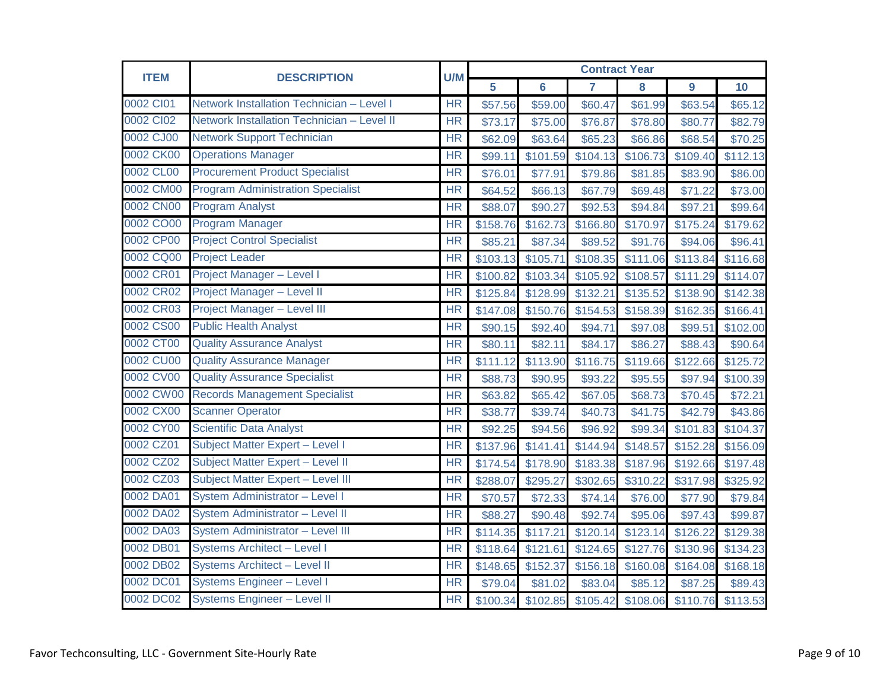| <b>ITEM</b> | <b>DESCRIPTION</b>                         | U/M                      | <b>Contract Year</b> |                |                      |                            |                |          |  |
|-------------|--------------------------------------------|--------------------------|----------------------|----------------|----------------------|----------------------------|----------------|----------|--|
|             |                                            |                          | 5                    | $6\phantom{a}$ | $\overline{7}$       | 8                          | $\overline{9}$ | 10       |  |
| 0002 CI01   | Network Installation Technician - Level I  | <b>HR</b>                | \$57.56              | \$59.00        | \$60.47              | \$61.99                    | \$63.54        | \$65.12  |  |
| 0002 CI02   | Network Installation Technician - Level II | <b>HR</b>                | \$73.17              | \$75.00        | \$76.87              | \$78.80                    | \$80.77        | \$82.79  |  |
| 0002 CJ00   | <b>Network Support Technician</b>          | <b>HR</b>                | \$62.09              | \$63.64        | \$65.23              | \$66.86                    | \$68.54        | \$70.25  |  |
| 0002 CK00   | <b>Operations Manager</b>                  | HR                       | \$99.11              | \$101.59       | \$104.13             | \$106.73                   | \$109.40       | \$112.13 |  |
| 0002 CL00   | <b>Procurement Product Specialist</b>      | <b>HR</b>                | \$76.01              | \$77.91        | \$79.86              | \$81.85                    | \$83.90        | \$86.00  |  |
| 0002 CM00   | <b>Program Administration Specialist</b>   | <b>HR</b>                | \$64.52              | \$66.13        | \$67.79              | \$69.48                    | \$71.22        | \$73.00  |  |
| 0002 CN00   | <b>Program Analyst</b>                     | <b>HR</b>                | \$88.07              | \$90.27        | \$92.53              | \$94.84                    | \$97.21        | \$99.64  |  |
| 0002 CO00   | <b>Program Manager</b>                     | <b>HR</b>                | \$158.76             | \$162.73       | \$166.80             | \$170.97                   | \$175.24       | \$179.62 |  |
| 0002 CP00   | <b>Project Control Specialist</b>          | <b>HR</b>                | \$85.21              | \$87.34        | \$89.52              | \$91.76                    | \$94.06        | \$96.41  |  |
| 0002 CQ00   | <b>Project Leader</b>                      | <b>HR</b>                | \$103.13             | \$105.71       | \$108.35             | \$111.06                   | \$113.84       | \$116.68 |  |
| 0002 CR01   | <b>Project Manager - Level I</b>           | <b>HR</b>                | \$100.82             | \$103.34       | \$105.92             | \$108.57                   | \$111.29       | \$114.07 |  |
| 0002 CR02   | Project Manager - Level II                 | <b>HR</b>                | \$125.84             | \$128.99       | \$132.21             | \$135.52                   | \$138.90       | \$142.38 |  |
| 0002 CR03   | Project Manager - Level III                | $\overline{\mathsf{HR}}$ | \$147.08             | \$150.76       | \$154.53             | \$158.39                   | \$162.35       | \$166.41 |  |
| 0002 CS00   | <b>Public Health Analyst</b>               | <b>HR</b>                | \$90.15              | \$92.40        | \$94.71              | \$97.08                    | \$99.51        | \$102.00 |  |
| 0002 CT00   | <b>Quality Assurance Analyst</b>           | <b>HR</b>                | \$80.11              | \$82.11        | \$84.17              | \$86.27                    | \$88.43        | \$90.64  |  |
| 0002 CU00   | <b>Quality Assurance Manager</b>           | HR                       | \$111.12             | \$113.90       | $\overline{$}116.75$ | \$119.66                   | \$122.66       | \$125.72 |  |
| 0002 CV00   | <b>Quality Assurance Specialist</b>        | <b>HR</b>                | \$88.73              | \$90.95        | \$93.22              | \$95.55                    | \$97.94        | \$100.39 |  |
| 0002 CW00   | <b>Records Management Specialist</b>       | <b>HR</b>                | \$63.82              | \$65.42        | \$67.05              | \$68.73                    | \$70.45        | \$72.21  |  |
| 0002 CX00   | <b>Scanner Operator</b>                    | <b>HR</b>                | \$38.77              | \$39.74        | \$40.73              | \$41.75                    | \$42.79        | \$43.86  |  |
| 0002 CY00   | <b>Scientific Data Analyst</b>             | <b>HR</b>                | \$92.25              | \$94.56        | \$96.92              | \$99.34                    | \$101.83       | \$104.37 |  |
| 0002 CZ01   | Subject Matter Expert - Level I            | <b>HR</b>                | \$137.96             | \$141.41       | \$144.94             | \$148.57                   | \$152.28       | \$156.09 |  |
| 0002 CZ02   | Subject Matter Expert - Level II           | <b>HR</b>                | \$174.54             | \$178.90       | \$183.38             | \$187.96                   | \$192.66       | \$197.48 |  |
| 0002 CZ03   | Subject Matter Expert - Level III          | <b>HR</b>                | \$288.07             | \$295.27       | \$302.65             | \$310.22                   | \$317.98       | \$325.92 |  |
| 0002 DA01   | System Administrator - Level I             | <b>HR</b>                | \$70.57              | \$72.33        | \$74.14              | \$76.00                    | \$77.90        | \$79.84  |  |
| 0002 DA02   | System Administrator - Level II            | <b>HR</b>                | \$88.27              | \$90.48        | \$92.74              | \$95.06                    | \$97.43        | \$99.87  |  |
| 0002 DA03   | System Administrator - Level III           | <b>HR</b>                | \$114.35             | \$117.21       | \$120.14             | \$123.14                   | \$126.22       | \$129.38 |  |
| 0002 DB01   | <b>Systems Architect - Level I</b>         | <b>HR</b>                | \$118.64             | \$121.61       | \$124.65             | \$127.76                   | \$130.96       | \$134.23 |  |
| 0002 DB02   | Systems Architect - Level II               | <b>HR</b>                | \$148.65             | \$152.37       | \$156.18             | \$160.08                   | \$164.08       | \$168.18 |  |
| 0002 DC01   | <b>Systems Engineer - Level I</b>          | <b>HR</b>                | \$79.04              | \$81.02        | \$83.04              | \$85.12                    | \$87.25        | \$89.43  |  |
| 0002 DC02   | Systems Engineer - Level II                | <b>HR</b>                | \$100.34             | \$102.85       |                      | \$105.42 \$108.06 \$110.76 |                | \$113.53 |  |